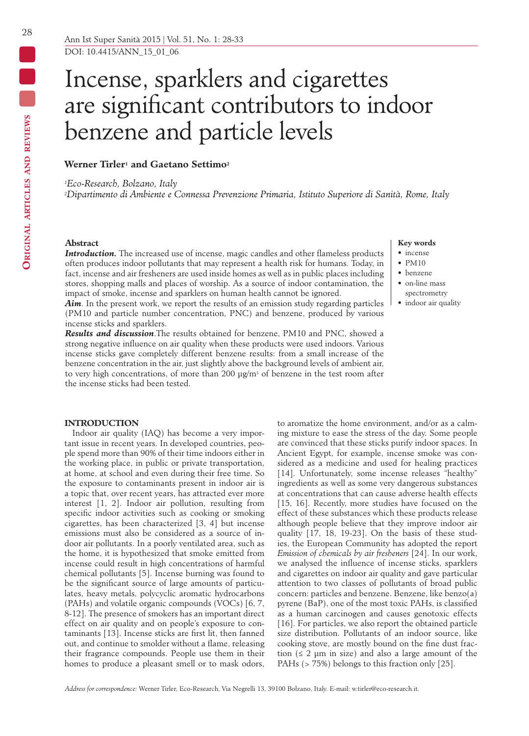# Incense, sparklers and cigarettes are significant contributors to indoor benzene and particle levels

# **Werner Tirler1 and Gaetano Settimo2**

*1Eco-Research, Bolzano, Italy*

*2Dipartimento di Ambiente e Connessa Prevenzione Primaria, Istituto Superiore di Sanità, Rome, Italy*

# **Abstract**

*Introduction.* The increased use of incense, magic candles and other flameless products often produces indoor pollutants that may represent a health risk for humans. Today, in fact, incense and air fresheners are used inside homes as well as in public places including stores, shopping malls and places of worship. As a source of indoor contamination, the impact of smoke, incense and sparklers on human health cannot be ignored.

*Aim*. In the present work, we report the results of an emission study regarding particles (PM10 and particle number concentration, PNC) and benzene, produced by various incense sticks and sparklers.

*Results and discussion*.The results obtained for benzene, PM10 and PNC, showed a strong negative influence on air quality when these products were used indoors. Various incense sticks gave completely different benzene results: from a small increase of the benzene concentration in the air, just slightly above the background levels of ambient air, to very high concentrations, of more than 200  $\mu$ g/m<sup>3</sup> of benzene in the test room after the incense sticks had been tested.

## **INTRODUCTION**

Indoor air quality (IAQ) has become a very important issue in recent years. In developed countries, people spend more than 90% of their time indoors either in the working place, in public or private transportation, at home, at school and even during their free time. So the exposure to contaminants present in indoor air is a topic that, over recent years, has attracted ever more interest [1, 2]. Indoor air pollution, resulting from specific indoor activities such as cooking or smoking cigarettes, has been characterized [3, 4] but incense emissions must also be considered as a source of indoor air pollutants. In a poorly ventilated area, such as the home, it is hypothesized that smoke emitted from incense could result in high concentrations of harmful chemical pollutants [5]. Incense burning was found to be the significant source of large amounts of particulates, heavy metals, polycyclic aromatic hydrocarbons (PAHs) and volatile organic compounds (VOCs) [6, 7, 8-12]. The presence of smokers has an important direct effect on air quality and on people's exposure to contaminants [13]. Incense sticks are first lit, then fanned out, and continue to smolder without a flame, releasing their fragrance compounds. People use them in their homes to produce a pleasant smell or to mask odors,

to aromatize the home environment, and/or as a calming mixture to ease the stress of the day. Some people are convinced that these sticks purify indoor spaces. In Ancient Egypt, for example, incense smoke was considered as a medicine and used for healing practices [14]. Unfortunately, some incense releases "healthy" ingredients as well as some very dangerous substances at concentrations that can cause adverse health effects [15, 16]. Recently, more studies have focused on the effect of these substances which these products release although people believe that they improve indoor air quality [17, 18, 19-23]. On the basis of these studies, the European Community has adopted the report *Emission of chemicals by air fresheners* [24]. In our work, we analysed the influence of incense sticks, sparklers and cigarettes on indoor air quality and gave particular attention to two classes of pollutants of broad public concern: particles and benzene. Benzene, like benzo(a) pyrene (BaP), one of the most toxic PAHs, is classified as a human carcinogen and causes genotoxic effects [16]. For particles, we also report the obtained particle size distribution. Pollutants of an indoor source, like cooking stove, are mostly bound on the fine dust fraction  $(≤ 2 \mu m)$  in size) and also a large amount of the PAHs (> 75%) belongs to this fraction only [25].

#### **Key words**

- incense
- $\bullet$  PM10
- benzene
- on-line mass
- spectrometry
- indoor air quality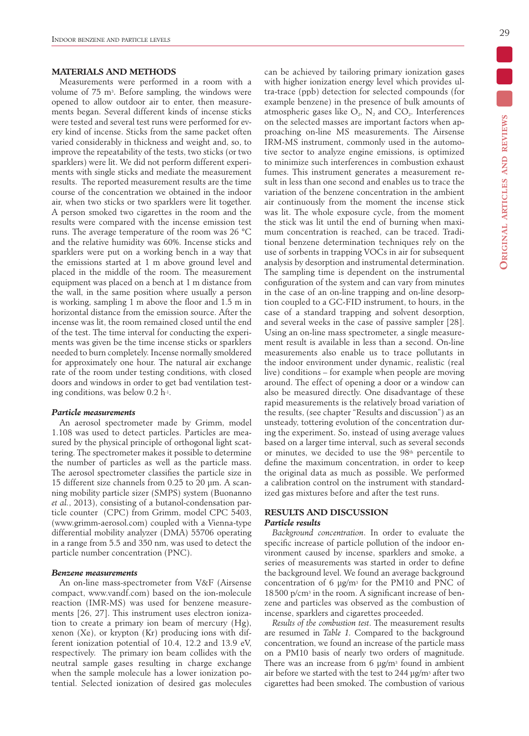# **MATERIALS AND METHODS**

Measurements were performed in a room with a volume of 75 m3. Before sampling, the windows were opened to allow outdoor air to enter, then measurements began. Several different kinds of incense sticks were tested and several test runs were performed for every kind of incense. Sticks from the same packet often varied considerably in thickness and weight and, so, to improve the repeatability of the tests, two sticks (or two sparklers) were lit. We did not perform different experiments with single sticks and mediate the measurement results. The reported measurement results are the time course of the concentration we obtained in the indoor air, when two sticks or two sparklers were lit together. A person smoked two cigarettes in the room and the results were compared with the incense emission test runs. The average temperature of the room was 26 °C and the relative humidity was 60%. Incense sticks and sparklers were put on a working bench in a way that the emissions started at 1 m above ground level and placed in the middle of the room. The measurement equipment was placed on a bench at 1 m distance from the wall, in the same position where usually a person is working, sampling 1 m above the floor and 1.5 m in horizontal distance from the emission source. After the incense was lit, the room remained closed until the end of the test. The time interval for conducting the experiments was given be the time incense sticks or sparklers needed to burn completely. Incense normally smoldered for approximately one hour. The natural air exchange rate of the room under testing conditions, with closed doors and windows in order to get bad ventilation testing conditions, was below 0.2 h-1.

#### *Particle measurements*

An aerosol spectrometer made by Grimm, model 1.108 was used to detect particles. Particles are measured by the physical principle of orthogonal light scattering. The spectrometer makes it possible to determine the number of particles as well as the particle mass. The aerosol spectrometer classifies the particle size in 15 different size channels from 0.25 to 20 µm. A scanning mobility particle sizer (SMPS) system (Buonanno *et al.*, 2013), consisting of a butanol-condensation particle counter (CPC) from Grimm, model CPC 5403, (www.grimm-aerosol.com) coupled with a Vienna-type differential mobility analyzer (DMA) 55706 operating in a range from 5.5 and 350 nm, was used to detect the particle number concentration (PNC).

## *Benzene measurements*

An on-line mass-spectrometer from V&F (Airsense compact, www.vandf.com) based on the ion-molecule reaction (IMR-MS) was used for benzene measurements [26, 27]. This instrument uses electron ionization to create a primary ion beam of mercury (Hg), xenon (Xe), or krypton (Kr) producing ions with different ionization potential of 10.4, 12.2 and 13.9 eV, respectively. The primary ion beam collides with the neutral sample gases resulting in charge exchange when the sample molecule has a lower ionization potential. Selected ionization of desired gas molecules can be achieved by tailoring primary ionization gases with higher ionization energy level which provides ultra-trace (ppb) detection for selected compounds (for example benzene) in the presence of bulk amounts of atmospheric gases like  $O_2$ ,  $N_2$  and  $CO_2$ . Interferences on the selected masses are important factors when approaching on-line MS measurements. The Airsense IRM-MS instrument, commonly used in the automotive sector to analyze engine emissions, is optimized to minimize such interferences in combustion exhaust fumes. This instrument generates a measurement result in less than one second and enables us to trace the variation of the benzene concentration in the ambient air continuously from the moment the incense stick was lit. The whole exposure cycle, from the moment the stick was lit until the end of burning when maximum concentration is reached, can be traced. Traditional benzene determination techniques rely on the use of sorbents in trapping VOCs in air for subsequent analysis by desorption and instrumental determination. The sampling time is dependent on the instrumental configuration of the system and can vary from minutes in the case of an on-line trapping and on-line desorption coupled to a GC-FID instrument, to hours, in the case of a standard trapping and solvent desorption, and several weeks in the case of passive sampler [28]. Using an on-line mass spectrometer, a single measurement result is available in less than a second. On-line measurements also enable us to trace pollutants in the indoor environment under dynamic, realistic (real live) conditions – for example when people are moving around. The effect of opening a door or a window can also be measured directly. One disadvantage of these rapid measurements is the relatively broad variation of the results, (see chapter "Results and discussion") as an unsteady, tottering evolution of the concentration during the experiment. So, instead of using average values based on a larger time interval, such as several seconds or minutes, we decided to use the 98<sup>th</sup> percentile to define the maximum concentration, in order to keep the original data as much as possible. We performed a calibration control on the instrument with standardized gas mixtures before and after the test runs.

# **RESULTS AND DISCUSSION** *Particle results*

*Background concentration*. In order to evaluate the specific increase of particle pollution of the indoor environment caused by incense, sparklers and smoke, a series of measurements was started in order to define the background level. We found an average background concentration of 6 μg/m3 for the PM10 and PNC of 18500 p/cm3 in the room. A significant increase of benzene and particles was observed as the combustion of incense, sparklers and cigarettes proceeded.

*Results of the combustion test*. The measurement results are resumed in *Table 1.* Compared to the background concentration, we found an increase of the particle mass on a PM10 basis of nearly two orders of magnitude. There was an increase from 6 μg/m3 found in ambient air before we started with the test to 244 μg/m3 after two cigarettes had been smoked. The combustion of various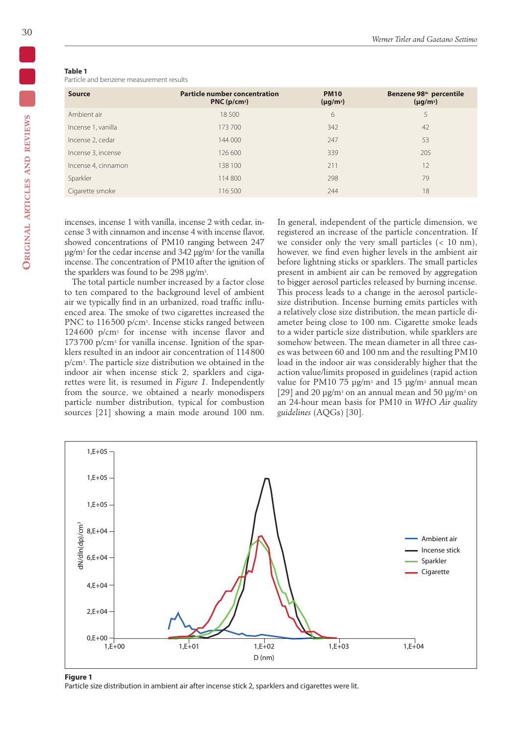# **Table 1**

Particle and benzene measurement results

| <b>Source</b>       | <b>Particle number concentration</b><br>PNC(p/cm <sup>3</sup> ) | <b>PM10</b><br>$(\mu g/m^3)$ | Benzene 98 <sup>th</sup> percentile<br>$(\mu g/m^3)$ |
|---------------------|-----------------------------------------------------------------|------------------------------|------------------------------------------------------|
| Ambient air         | 18 500                                                          | 6                            | 5                                                    |
| Incense 1, vanilla  | 173 700                                                         | 342                          | 42                                                   |
| Incense 2, cedar    | 144 000                                                         | 247                          | 53                                                   |
| Incense 3, incense  | 126 600                                                         | 339                          | 205                                                  |
| Incense 4, cinnamon | 138 100                                                         | 211                          | 12                                                   |
| Sparkler            | 114 800                                                         | 298                          | 79                                                   |
| Cigarette smoke     | 116 500                                                         | 244                          | 18                                                   |
|                     |                                                                 |                              |                                                      |

incenses, incense 1 with vanilla, incense 2 with cedar, incense 3 with cinnamon and incense 4 with incense flavor, showed concentrations of PM10 ranging between 247 μg/m3 for the cedar incense and 342 μg/m3 for the vanilla incense. The concentration of PM10 after the ignition of the sparklers was found to be 298 μg/m3.

The total particle number increased by a factor close to ten compared to the background level of ambient air we typically find in an urbanized, road traffic influenced area. The smoke of two cigarettes increased the PNC to 116500 p/cm<sup>3</sup>. Incense sticks ranged between 124600 p/cm3 for incense with incense flavor and 173700 p/cm3 for vanilla incense. Ignition of the sparklers resulted in an indoor air concentration of 114800 p/cm3. The particle size distribution we obtained in the indoor air when incense stick 2, sparklers and cigarettes were lit, is resumed in *Figure 1*. Independently from the source, we obtained a nearly monodispers particle number distribution, typical for combustion sources [21] showing a main mode around 100 nm.

In general, independent of the particle dimension, we registered an increase of the particle concentration. If we consider only the very small particles  $( $10 \text{ nm}$ ),$ however, we find even higher levels in the ambient air before lightning sticks or sparklers. The small particles present in ambient air can be removed by aggregation to bigger aerosol particles released by burning incense. This process leads to a change in the aerosol particlesize distribution. Incense burning emits particles with a relatively close size distribution, the mean particle diameter being close to 100 nm. Cigarette smoke leads to a wider particle size distribution, while sparklers are somehow between. The mean diameter in all three cases was between 60 and 100 nm and the resulting PM10 load in the indoor air was considerably higher that the action value/limits proposed in guidelines (rapid action value for PM10 75  $\mu$ g/m<sup>3</sup> and 15  $\mu$ g/m<sup>3</sup> annual mean [29] and 20 μg/m<sup>3</sup> on an annual mean and 50 μg/m<sup>3</sup> on an 24-hour mean basis for PM10 in *WHO Air quality guidelines* (AQGs) [30].



#### **Figure 1**

Particle size distribution in ambient air after incense stick 2, sparklers and cigarettes were lit.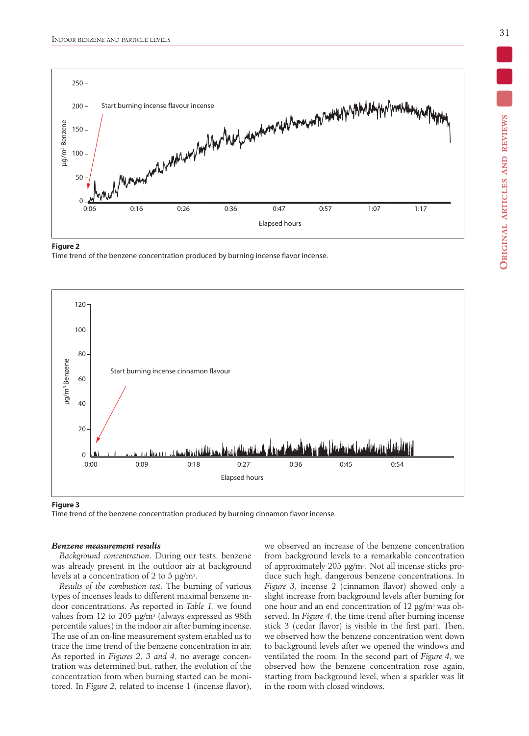

#### **Figure 2**

Time trend of the benzene concentration produced by burning incense flavor incense.



#### **Figure 3**

Time trend of the benzene concentration produced by burning cinnamon flavor incense.

#### *Benzene measurement results*

*Background concentration*. During our tests, benzene was already present in the outdoor air at background levels at a concentration of 2 to 5  $\mu$ g/m<sup>3</sup>.

*Results of the combustion test*. The burning of various types of incenses leads to different maximal benzene indoor concentrations. As reported in *Table 1*, we found values from 12 to 205 µg/m<sup>3</sup> (always expressed as 98th percentile values) in the indoor air after burning incense. The use of an on-line measurement system enabled us to trace the time trend of the benzene concentration in air. As reported in *Figures 2, 3 and 4*, no average concentration was determined but, rather, the evolution of the concentration from when burning started can be monitored. In *Figure 2,* related to incense 1 (incense flavor), we observed an increase of the benzene concentration from background levels to a remarkable concentration of approximately 205 µg/m3. Not all incense sticks produce such high, dangerous benzene concentrations. In *Figure 3*, incense 2 (cinnamon flavor) showed only a slight increase from background levels after burning for one hour and an end concentration of 12 µg/m3 was observed. In *Figure 4*, the time trend after burning incense stick 3 (cedar flavor) is visible in the first part. Then, we observed how the benzene concentration went down to background levels after we opened the windows and ventilated the room. In the second part of *Figure 4*, we observed how the benzene concentration rose again, starting from background level, when a sparkler was lit in the room with closed windows.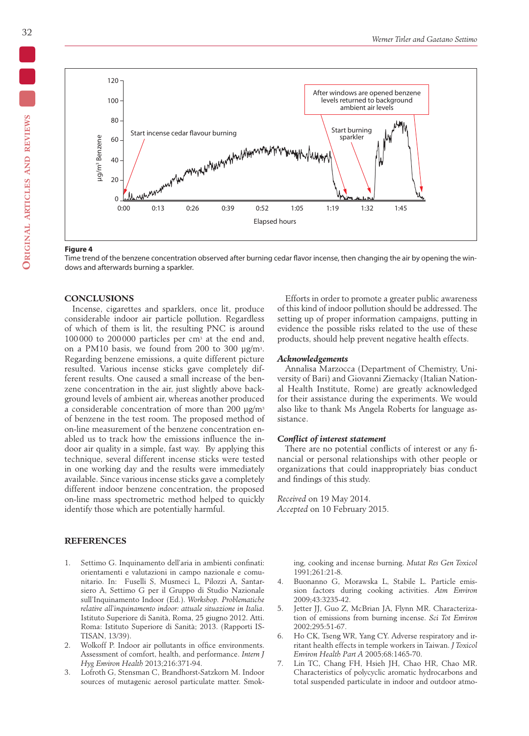

#### **Figure 4**

Time trend of the benzene concentration observed after burning cedar flavor incense, then changing the air by opening the windows and afterwards burning a sparkler.

## **CONCLUSIONS**

Incense, cigarettes and sparklers, once lit, produce considerable indoor air particle pollution. Regardless of which of them is lit, the resulting PNC is around 100000 to 200000 particles per cm3 at the end and, on a PM10 basis, we found from 200 to 300 µg/m3. Regarding benzene emissions, a quite different picture resulted. Various incense sticks gave completely different results. One caused a small increase of the benzene concentration in the air, just slightly above background levels of ambient air, whereas another produced a considerable concentration of more than 200  $\mu$ g/m<sup>3</sup> of benzene in the test room. The proposed method of on-line measurement of the benzene concentration enabled us to track how the emissions influence the indoor air quality in a simple, fast way. By applying this technique, several different incense sticks were tested in one working day and the results were immediately available. Since various incense sticks gave a completely different indoor benzene concentration, the proposed on-line mass spectrometric method helped to quickly identify those which are potentially harmful.

## **References**

- 1. Settimo G. Inquinamento dell'aria in ambienti confinati: orientamenti e valutazioni in campo nazionale e comunitario. In: Fuselli S, Musmeci L, Pilozzi A, Santarsiero A, Settimo G per il Gruppo di Studio Nazionale sull'Inquinamento Indoor (Ed.). *Workshop. Problematiche relative all'inquinamento indoor: attuale situazione in Italia*. Istituto Superiore di Sanità, Roma, 25 giugno 2012. Atti. Roma: Istituto Superiore di Sanità; 2013. (Rapporti IS-TISAN, 13/39).
- 2. Wolkoff P. Indoor air pollutants in office environments. Assessment of comfort, health, and performance. *Intern J Hyg Environ Health* 2013;216:371-94.
- 3. Lofroth G, Stensman C, Brandhorst-Satzkorn M. Indoor sources of mutagenic aerosol particulate matter. Smok-

Efforts in order to promote a greater public awareness of this kind of indoor pollution should be addressed. The setting up of proper information campaigns, putting in evidence the possible risks related to the use of these products, should help prevent negative health effects.

## *Acknowledgements*

Annalisa Marzocca (Department of Chemistry, University of Bari) and Giovanni Ziemacky (Italian National Health Institute, Rome) are greatly acknowledged for their assistance during the experiments. We would also like to thank Ms Angela Roberts for language assistance.

## *Conflict of interest statement*

There are no potential conflicts of interest or any financial or personal relationships with other people or organizations that could inappropriately bias conduct and findings of this study.

*Received* on 19 May 2014. *Accepted* on 10 February 2015.

> ing, cooking and incense burning. *Mutat Res Gen Toxicol* 1991;261:21-8.

- 4. Buonanno G, Morawska L, Stabile L. Particle emission factors during cooking activities. *Atm Environ*  2009;43:3235-42.
- 5. Jetter JJ, Guo Z, McBrian JA, Flynn MR. Characterization of emissions from burning incense. *Sci Tot Environ* 2002;295:51-67.
- 6. Ho CK, Tseng WR, Yang CY. Adverse respiratory and irritant health effects in temple workers in Taiwan. *J Toxicol Environ Health Part A* 2005;68:1465-70.
- 7. Lin TC, Chang FH, Hsieh JH, Chao HR, Chao MR. Characteristics of polycyclic aromatic hydrocarbons and total suspended particulate in indoor and outdoor atmo-